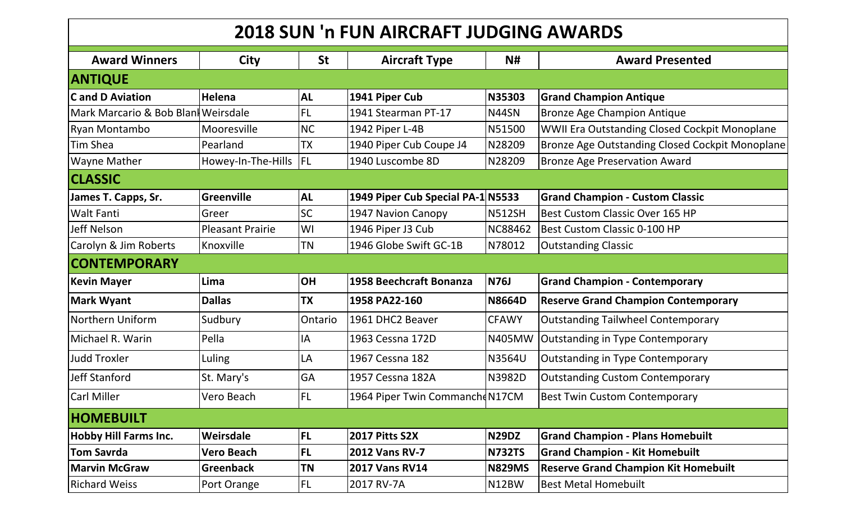| <b>2018 SUN 'n FUN AIRCRAFT JUDGING AWARDS</b> |                         |           |                                   |                |                                                      |  |  |
|------------------------------------------------|-------------------------|-----------|-----------------------------------|----------------|------------------------------------------------------|--|--|
| <b>Award Winners</b>                           | <b>City</b>             | <b>St</b> | <b>Aircraft Type</b>              | N#             | <b>Award Presented</b>                               |  |  |
| <b>ANTIQUE</b>                                 |                         |           |                                   |                |                                                      |  |  |
| <b>Cand D Aviation</b>                         | Helena                  | <b>AL</b> | 1941 Piper Cub                    | <b>N35303</b>  | <b>Grand Champion Antique</b>                        |  |  |
| Mark Marcario & Bob Blan  Weirsdale            |                         | <b>FL</b> | 1941 Stearman PT-17               | N44SN          | <b>Bronze Age Champion Antique</b>                   |  |  |
| Ryan Montambo                                  | Mooresville             | <b>NC</b> | 1942 Piper L-4B                   | N51500         | <b>WWII Era Outstanding Closed Cockpit Monoplane</b> |  |  |
| <b>Tim Shea</b>                                | Pearland                | <b>TX</b> | 1940 Piper Cub Coupe J4           | N28209         | Bronze Age Outstanding Closed Cockpit Monoplane      |  |  |
| <b>Wayne Mather</b>                            | Howey-In-The-Hills  FL  |           | 1940 Luscombe 8D                  | N28209         | <b>Bronze Age Preservation Award</b>                 |  |  |
| <b>CLASSIC</b>                                 |                         |           |                                   |                |                                                      |  |  |
| James T. Capps, Sr.                            | Greenville              | <b>AL</b> | 1949 Piper Cub Special PA-1 N5533 |                | <b>Grand Champion - Custom Classic</b>               |  |  |
| <b>Walt Fanti</b>                              | Greer                   | SC        | 1947 Navion Canopy                | <b>N512SH</b>  | Best Custom Classic Over 165 HP                      |  |  |
| Jeff Nelson                                    | <b>Pleasant Prairie</b> | WI        | 1946 Piper J3 Cub                 | <b>NC88462</b> | Best Custom Classic 0-100 HP                         |  |  |
| Carolyn & Jim Roberts                          | Knoxville               | <b>TN</b> | 1946 Globe Swift GC-1B            | N78012         | <b>Outstanding Classic</b>                           |  |  |
| <b>CONTEMPORARY</b>                            |                         |           |                                   |                |                                                      |  |  |
| <b>Kevin Mayer</b>                             | Lima                    | <b>OH</b> | 1958 Beechcraft Bonanza           | <b>N76J</b>    | <b>Grand Champion - Contemporary</b>                 |  |  |
| <b>Mark Wyant</b>                              | <b>Dallas</b>           | <b>TX</b> | 1958 PA22-160                     | <b>N8664D</b>  | <b>Reserve Grand Champion Contemporary</b>           |  |  |
| Northern Uniform                               | Sudbury                 | Ontario   | 1961 DHC2 Beaver                  | <b>CFAWY</b>   | <b>Outstanding Tailwheel Contemporary</b>            |  |  |
| Michael R. Warin                               | Pella                   | IA        | 1963 Cessna 172D                  | <b>N405MW</b>  | Outstanding in Type Contemporary                     |  |  |
| <b>Judd Troxler</b>                            | Luling                  | LA        | 1967 Cessna 182                   | <b>N3564U</b>  | Outstanding in Type Contemporary                     |  |  |
| <b>Jeff Stanford</b>                           | St. Mary's              | <b>GA</b> | 1957 Cessna 182A                  | N3982D         | <b>Outstanding Custom Contemporary</b>               |  |  |
| Carl Miller                                    | Vero Beach              | FL        | 1964 Piper Twin CommanchdN17CM    |                | <b>Best Twin Custom Contemporary</b>                 |  |  |
| <b>HOMEBUILT</b>                               |                         |           |                                   |                |                                                      |  |  |
| <b>Hobby Hill Farms Inc.</b>                   | Weirsdale               | FL        | 2017 Pitts S2X                    | <b>N29DZ</b>   | <b>Grand Champion - Plans Homebuilt</b>              |  |  |
| <b>Tom Savrda</b>                              | <b>Vero Beach</b>       | FL        | 2012 Vans RV-7                    | <b>N732TS</b>  | <b>Grand Champion - Kit Homebuilt</b>                |  |  |
| <b>Marvin McGraw</b>                           | <b>Greenback</b>        | <b>TN</b> | <b>2017 Vans RV14</b>             | <b>N829MS</b>  | <b>Reserve Grand Champion Kit Homebuilt</b>          |  |  |
| <b>Richard Weiss</b>                           | Port Orange             | <b>FL</b> | 2017 RV-7A                        | N12BW          | <b>Best Metal Homebuilt</b>                          |  |  |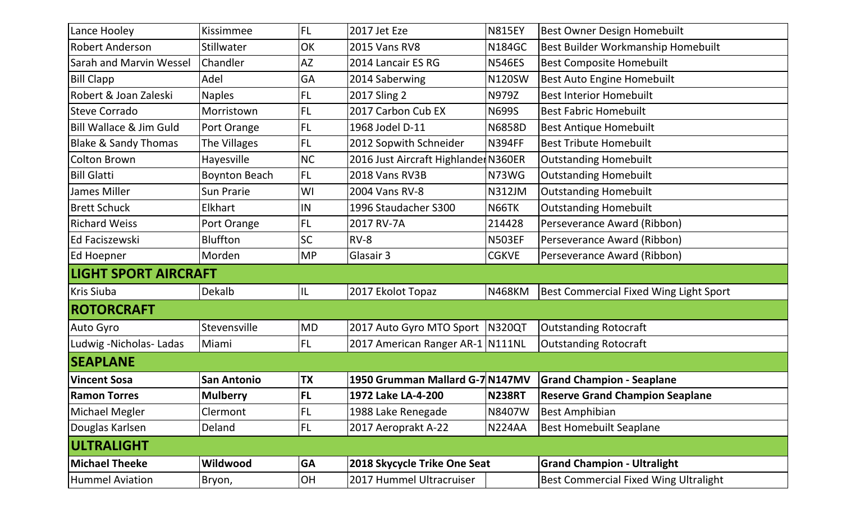| Lance Hooley                    | Kissimmee            | <b>FL</b> | 2017 Jet Eze                         | <b>N815EY</b> | <b>Best Owner Design Homebuilt</b>            |  |  |
|---------------------------------|----------------------|-----------|--------------------------------------|---------------|-----------------------------------------------|--|--|
| <b>Robert Anderson</b>          | <b>Stillwater</b>    | OK        | <b>2015 Vans RV8</b>                 | <b>N184GC</b> | Best Builder Workmanship Homebuilt            |  |  |
| Sarah and Marvin Wessel         | Chandler             | <b>AZ</b> | 2014 Lancair ES RG                   | <b>N546ES</b> | <b>Best Composite Homebuilt</b>               |  |  |
| <b>Bill Clapp</b>               | Adel                 | GA        | 2014 Saberwing                       | N120SW        | Best Auto Engine Homebuilt                    |  |  |
| Robert & Joan Zaleski           | <b>Naples</b>        | <b>FL</b> | 2017 Sling 2                         | N979Z         | <b>Best Interior Homebuilt</b>                |  |  |
| <b>Steve Corrado</b>            | Morristown           | <b>FL</b> | 2017 Carbon Cub EX                   | <b>N699S</b>  | <b>Best Fabric Homebuilt</b>                  |  |  |
| Bill Wallace & Jim Guld         | Port Orange          | <b>FL</b> | 1968 Jodel D-11                      | <b>N6858D</b> | <b>Best Antique Homebuilt</b>                 |  |  |
| <b>Blake &amp; Sandy Thomas</b> | The Villages         | <b>FL</b> | 2012 Sopwith Schneider               | <b>N394FF</b> | <b>Best Tribute Homebuilt</b>                 |  |  |
| <b>Colton Brown</b>             | Hayesville           | <b>NC</b> | 2016 Just Aircraft Highlander N360ER |               | <b>Outstanding Homebuilt</b>                  |  |  |
| <b>Bill Glatti</b>              | <b>Boynton Beach</b> | <b>FL</b> | 2018 Vans RV3B                       | N73WG         | <b>Outstanding Homebuilt</b>                  |  |  |
| James Miller                    | <b>Sun Prarie</b>    | WI        | 2004 Vans RV-8                       | <b>N312JM</b> | <b>Outstanding Homebuilt</b>                  |  |  |
| <b>Brett Schuck</b>             | Elkhart              | IN        | 1996 Staudacher S300                 | N66TK         | <b>Outstanding Homebuilt</b>                  |  |  |
| <b>Richard Weiss</b>            | Port Orange          | <b>FL</b> | 2017 RV-7A                           | 214428        | Perseverance Award (Ribbon)                   |  |  |
| Ed Faciszewski                  | <b>Bluffton</b>      | <b>SC</b> | $RV-8$                               | <b>N503EF</b> | Perseverance Award (Ribbon)                   |  |  |
| Ed Hoepner                      | Morden               | <b>MP</b> | Glasair 3                            | <b>CGKVE</b>  | Perseverance Award (Ribbon)                   |  |  |
| <b>LIGHT SPORT AIRCRAFT</b>     |                      |           |                                      |               |                                               |  |  |
| <b>Kris Siuba</b>               | Dekalb               | IL        | 2017 Ekolot Topaz                    | N468KM        | <b>Best Commercial Fixed Wing Light Sport</b> |  |  |
| <b>ROTORCRAFT</b>               |                      |           |                                      |               |                                               |  |  |
| Auto Gyro                       | Stevensville         | <b>MD</b> | 2017 Auto Gyro MTO Sport   N320QT    |               | <b>Outstanding Rotocraft</b>                  |  |  |
| Ludwig - Nicholas - Ladas       | Miami                | <b>FL</b> | 2017 American Ranger AR-1   N111NL   |               | <b>Outstanding Rotocraft</b>                  |  |  |
| <b>SEAPLANE</b>                 |                      |           |                                      |               |                                               |  |  |
| <b>Vincent Sosa</b>             | <b>San Antonio</b>   | <b>TX</b> | 1950 Grumman Mallard G-7 N147MV      |               | <b>Grand Champion - Seaplane</b>              |  |  |
| <b>Ramon Torres</b>             | <b>Mulberry</b>      | <b>FL</b> | 1972 Lake LA-4-200                   | <b>N238RT</b> | <b>Reserve Grand Champion Seaplane</b>        |  |  |
| Michael Megler                  | Clermont             | FL.       | 1988 Lake Renegade                   | <b>N8407W</b> | <b>Best Amphibian</b>                         |  |  |
| Douglas Karlsen                 | Deland               | FL.       | 2017 Aeroprakt A-22                  | <b>N224AA</b> | <b>Best Homebuilt Seaplane</b>                |  |  |
| <b>ULTRALIGHT</b>               |                      |           |                                      |               |                                               |  |  |
| <b>Michael Theeke</b>           | Wildwood             | <b>GA</b> | 2018 Skycycle Trike One Seat         |               | <b>Grand Champion - Ultralight</b>            |  |  |
| <b>Hummel Aviation</b>          | Bryon,               | OH        | 2017 Hummel Ultracruiser             |               | <b>Best Commercial Fixed Wing Ultralight</b>  |  |  |
|                                 |                      |           |                                      |               |                                               |  |  |